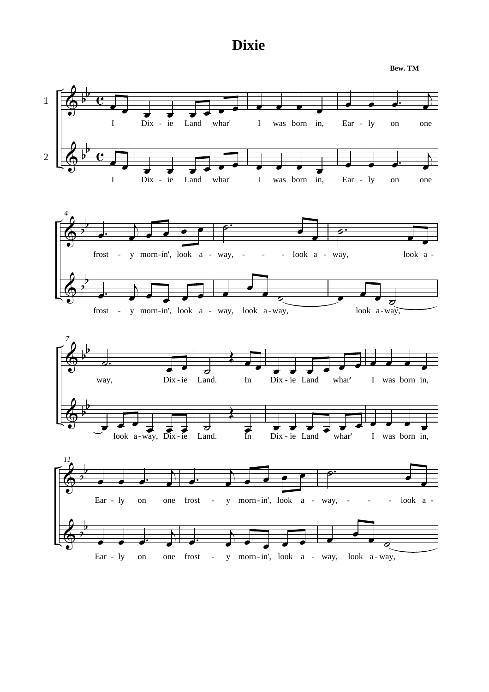## **Dixie**

**Bew. TM**